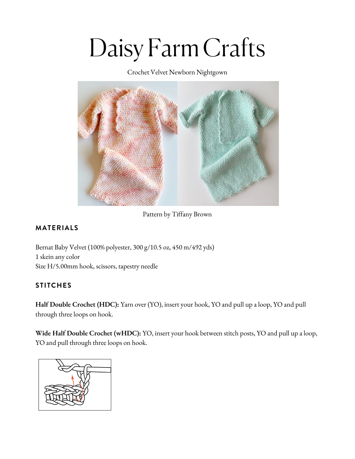# Daisy Farm Crafts

Crochet Velvet Newborn Nightgown



Pattern by Tiffany Brown

## **MATERIALS**

Bernat Baby Velvet (100% [polyester,](https://www.yarnspirations.com/bernat-velvet-plus-yarn/161256.html?utm_source=Influencer_DFC&utm_medium=blog&utm_campaign=2021_01_12_bernat-velvet-plus-yarn) 300 g/10.5 oz, 450 m/492 yds) 1 skein any [color](https://www.yarnspirations.com/bernat-velvet-plus-yarn/161256.html?utm_source=Influencer_DFC&utm_medium=blog&utm_campaign=2021_01_12_bernat-velvet-plus-yarn) Size [H/5.00mm](https://www.yarnspirations.com/bernat-velvet-plus-yarn/161256.html?utm_source=Influencer_DFC&utm_medium=blog&utm_campaign=2021_01_12_bernat-velvet-plus-yarn) hook, scissors, tapestry needle

## **STITCHES**

**Half Double Crochet (HDC):** Yarn over (YO), insert your hook, YO and pull up a loop, YO and pull through three loops on hook.

**Wide Half Double Crochet (wHDC):** YO, insert your hook between stitch posts, YO and pull up a loop, YO and pull through three loops on hook.

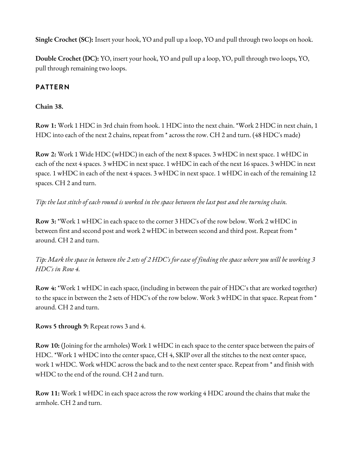**Single Crochet (SC):** Insert your hook, YO and pull up a loop, YO and pull through two loops on hook.

**Double Crochet (DC):** YO, insert your hook, YO and pull up a loop, YO, pull through two loops, YO, pull through remaining two loops.

#### **PATTERN**

#### **Chain 38.**

**Row 1:** Work 1 HDC in 3rd chain from hook. 1 HDC into the next chain. \*Work 2 HDC in next chain, 1 HDC into each of the next 2 chains, repeat from \* across the row. CH 2 and turn. (48 HDC's made)

**Row 2:** Work 1 Wide HDC (wHDC) in each of the next 8 spaces. 3 wHDC in next space. 1 wHDC in each of the next 4 spaces. 3 wHDC in next space. 1 wHDC in each of the next 16 spaces. 3 wHDC in next space. 1 wHDC in each of the next 4 spaces. 3 wHDC in next space. 1 wHDC in each of the remaining 12 spaces. CH 2 and turn.

### Tip: the last stitch of each round is worked in the space between the last post and the turning chain.

**Row 3:** \*Work 1 wHDC in each space to the corner 3 HDC's of the row below. Work 2 wHDC in between first and second post and work 2 wHDC in between second and third post. Repeat from \* around. CH 2 and turn.

Tip: Mark the space in between the 2 sets of 2 HDC's for ease of finding the space where you will be working 3 *HDC's in Row 4.*

**Row 4:** \*Work 1 wHDC in each space, (including in between the pair of HDC's that are worked together) to the space in between the 2 sets of HDC's of the row below. Work 3 wHDC in that space. Repeat from \* around. CH 2 and turn.

#### **Rows 5 through 9:** Repeat rows 3 and 4.

**Row 10:** (Joining for the armholes) Work 1 wHDC in each space to the center space between the pairs of HDC. \*Work 1 wHDC into the center space, CH 4, SKIP over all the stitches to the next center space, work 1 wHDC. Work wHDC across the back and to the next center space. Repeat from \* and finish with wHDC to the end of the round. CH 2 and turn.

**Row 11:** Work 1 wHDC in each space across the row working 4 HDC around the chains that make the armhole. CH 2 and turn.